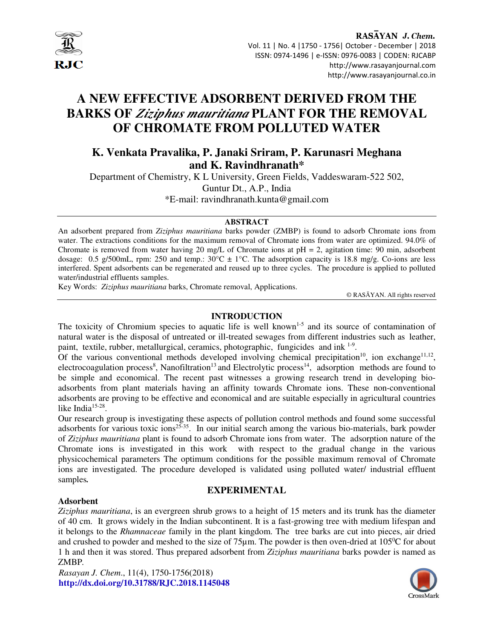

# **A NEW EFFECTIVE ADSORBENT DERIVED FROM THE BARKS OF** *Ziziphus mauritiana* **PLANT FOR THE REMOVAL OF CHROMATE FROM POLLUTED WATER**

# **K. Venkata Pravalika, P. Janaki Sriram, P. Karunasri Meghana and K. Ravindhranath\***

Department of Chemistry, K L University, Green Fields, Vaddeswaram-522 502, Guntur Dt., A.P., India \*E-mail: ravindhranath.kunta@gmail.com

#### **ABSTRACT**

An adsorbent prepared from *Ziziphus mauritiana* barks powder (ZMBP) is found to adsorb Chromate ions from water. The extractions conditions for the maximum removal of Chromate ions from water are optimized. 94.0% of Chromate is removed from water having 20 mg/L of Chromate ions at  $pH = 2$ , agitation time: 90 min, adsorbent dosage: 0.5 g/500mL, rpm: 250 and temp.:  $30^{\circ}C \pm 1^{\circ}C$ . The adsorption capacity is 18.8 mg/g. Co-ions are less interfered. Spent adsorbents can be regenerated and reused up to three cycles. The procedure is applied to polluted water/industrial effluents samples.

Key Words: *Ziziphus mauritiana* barks, Chromate removal, Applications.

© RASĀYAN. All rights reserved

#### **INTRODUCTION**

The toxicity of Chromium species to aquatic life is well known<sup>1-5</sup> and its source of contamination of natural water is the disposal of untreated or ill-treated sewages from different industries such as leather, paint, textile, rubber, metallurgical, ceramics, photographic, fungicides and ink <sup>1-9</sup>.

Of the various conventional methods developed involving chemical precipitation<sup>10</sup>, ion exchange<sup>11,12</sup>, electrocoagulation process<sup>8</sup>, Nanofiltration<sup>13</sup> and Electrolytic process<sup>14</sup>, adsorption methods are found to be simple and economical. The recent past witnesses a growing research trend in developing bioadsorbents from plant materials having an affinity towards Chromate ions. These non-conventional adsorbents are proving to be effective and economical and are suitable especially in agricultural countries like India $15-28$ .

Our research group is investigating these aspects of pollution control methods and found some successful adsorbents for various toxic ions<sup>25-35</sup>. In our initial search among the various bio-materials, bark powder of *Ziziphus mauritiana* plant is found to adsorb Chromate ions from water. The adsorption nature of the Chromate ions is investigated in this work with respect to the gradual change in the various physicochemical parameters The optimum conditions for the possible maximum removal of Chromate ions are investigated. The procedure developed is validated using polluted water/ industrial effluent samples*.*

#### **EXPERIMENTAL**

#### **Adsorbent**

*Ziziphus mauritiana*, is an evergreen shrub grows to a height of 15 meters and its trunk has the diameter of 40 cm. It grows widely in the Indian subcontinent. It is a fast-growing tree with medium lifespan and it belongs to the *Rhamnaceae* family in the plant kingdom. The tree barks are cut into pieces, air dried and crushed to powder and meshed to the size of 75 $\mu$ m. The powder is then oven-dried at 105<sup>o</sup>C for about 1 h and then it was stored. Thus prepared adsorbent from *Ziziphus mauritiana* barks powder is named as ZMBP*.*

*Rasayan J. Chem*., 11(4), 1750-1756(2018) **http://dx.doi.org/10.31788/RJC.2018.1145048** 

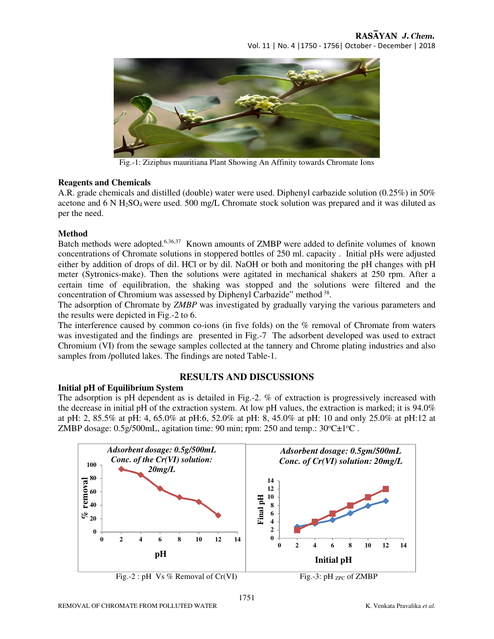

Fig.-1: Ziziphus mauritiana Plant Showing An Affinity towards Chromate Ions

#### **Reagents and Chemicals**

A.R. grade chemicals and distilled (double) water were used. Diphenyl carbazide solution (0.25%) in 50% acetone and 6 N H2SO4 were used. 500 mg/L Chromate stock solution was prepared and it was diluted as per the need.

#### **Method**

Batch methods were adopted.<sup>6,36,37</sup> Known amounts of ZMBP were added to definite volumes of known concentrations of Chromate solutions in stoppered bottles of 250 ml. capacity . Initial pHs were adjusted either by addition of drops of dil. HCl or by dil. NaOH or both and monitoring the pH changes with pH meter (Sytronics-make). Then the solutions were agitated in mechanical shakers at 250 rpm. After a certain time of equilibration, the shaking was stopped and the solutions were filtered and the concentration of Chromium was assessed by Diphenyl Carbazide" method<sup>38</sup>.

The adsorption of Chromate by *ZMBP* was investigated by gradually varying the various parameters and the results were depicted in Fig.-2 to 6.

The interference caused by common co-ions (in five folds) on the % removal of Chromate from waters was investigated and the findings are presented in Fig.-7 The adsorbent developed was used to extract Chromium (VI) from the sewage samples collected at the tannery and Chrome plating industries and also samples from /polluted lakes. The findings are noted Table-1.

# **RESULTS AND DISCUSSIONS**

**Initial pH of Equilibrium System**  The adsorption is pH dependent as is detailed in Fig.-2. % of extraction is progressively increased with the decrease in initial pH of the extraction system. At low pH values, the extraction is marked; it is 94.0% at pH: 2, 85.5% at pH: 4, 65.0% at pH:6, 52.0% at pH: 8, 45.0% at pH: 10 and only 25.0% at pH:12 at ZMBP dosage:  $0.5g/500mL$ , agitation time: 90 min; rpm: 250 and temp.:  $30^{\circ}C\pm1^{\circ}C$ .

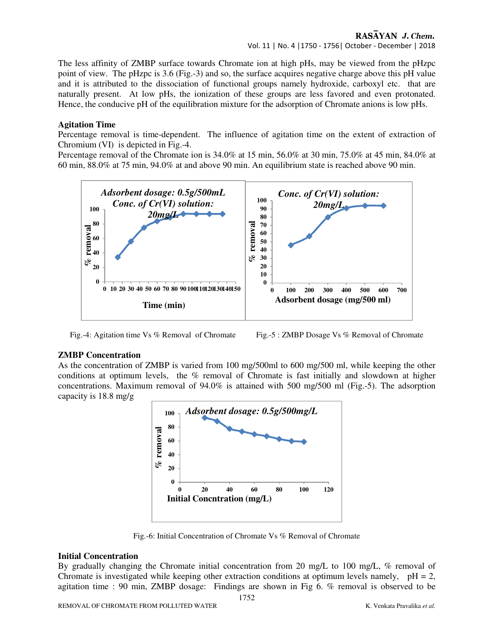#### RASAYAN J. Chem. Vol. 11 | No. 4 |1750 - 1756| October - December | 2018

The less affinity of ZMBP surface towards Chromate ion at high pHs, may be viewed from the pHzpc point of view. The pHzpc is 3.6 (Fig.-3) and so, the surface acquires negative charge above this pH value and it is attributed to the dissociation of functional groups namely hydroxide, carboxyl etc. that are naturally present. At low pHs, the ionization of these groups are less favored and even protonated. Hence, the conducive pH of the equilibration mixture for the adsorption of Chromate anions is low pHs.

#### **Agitation Time**

Percentage removal is time-dependent. The influence of agitation time on the extent of extraction of Chromium (VI) is depicted in Fig.-4.

Percentage removal of the Chromate ion is 34.0% at 15 min, 56.0% at 30 min, 75.0% at 45 min, 84.0% at 60 min, 88.0% at 75 min, 94.0% at and above 90 min. An equilibrium state is reached above 90 min.



Fig.-4: Agitation time Vs % Removal of Chromate Fig.-5 : ZMBP Dosage Vs % Removal of Chromate

#### **ZMBP Concentration**

As the concentration of ZMBP is varied from 100 mg/500ml to 600 mg/500 ml, while keeping the other conditions at optimum levels, the % removal of Chromate is fast initially and slowdown at higher concentrations. Maximum removal of 94.0% is attained with 500 mg/500 ml (Fig.-5). The adsorption capacity is 18.8 mg/g



Fig.-6: Initial Concentration of Chromate Vs % Removal of Chromate

#### **Initial Concentration**

By gradually changing the Chromate initial concentration from 20 mg/L to 100 mg/L, % removal of Chromate is investigated while keeping other extraction conditions at optimum levels namely,  $pH = 2$ , agitation time : 90 min, ZMBP dosage: Findings are shown in Fig 6. % removal is observed to be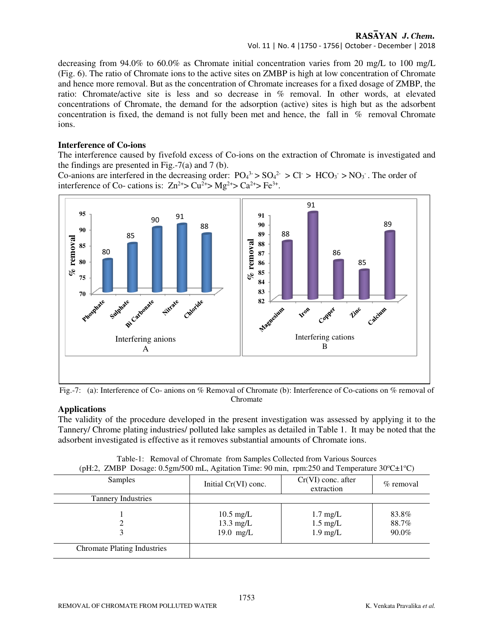### RASAYAN J. Chem.

#### Vol. 11 | No. 4 |1750 - 1756| October - December | 2018

decreasing from 94.0% to 60.0% as Chromate initial concentration varies from 20 mg/L to 100 mg/L (Fig. 6). The ratio of Chromate ions to the active sites on ZMBP is high at low concentration of Chromate and hence more removal. But as the concentration of Chromate increases for a fixed dosage of ZMBP, the ratio: Chromate/active site is less and so decrease in % removal. In other words, at elevated concentrations of Chromate, the demand for the adsorption (active) sites is high but as the adsorbent concentration is fixed, the demand is not fully been met and hence, the fall in % removal Chromate ions.

#### **Interference of Co-ions**

The interference caused by fivefold excess of Co-ions on the extraction of Chromate is investigated and the findings are presented in Fig.-7(a) and 7 (b).

Co-anions are interfered in the decreasing order:  $PO_4^{3} > SO_4^{2} > Cl > HCO_3 > NO_3$ . The order of interference of Co- cations is:  $Zn^{2+}$   $\geq$   $Cu^{2+}$   $\geq$   $Ma^{2+}$   $\geq$   $Fe^{3+}$ .



Fig.-7: (a): Interference of Co- anions on % Removal of Chromate (b): Interference of Co-cations on % removal of Chromate

#### **Applications**

The validity of the procedure developed in the present investigation was assessed by applying it to the Tannery/ Chrome plating industries/ polluted lake samples as detailed in Table 1. It may be noted that the adsorbent investigated is effective as it removes substantial amounts of Chromate ions.

| (pH.2, ZIMDT DOSage, 0.9gHI/900 HIL, Aghation Thile, 90 Hill, Tpm.290 and Temperature 30 C $\pm$ 1 C) |                                                           |                                                        |                         |  |  |
|-------------------------------------------------------------------------------------------------------|-----------------------------------------------------------|--------------------------------------------------------|-------------------------|--|--|
| Samples                                                                                               | Initial Cr(VI) conc.                                      | $Cr(VI)$ conc. after<br>extraction                     | $\%$ removal            |  |  |
| <b>Tannery Industries</b>                                                                             |                                                           |                                                        |                         |  |  |
|                                                                                                       | $10.5 \text{ mg/L}$<br>$13.3 \text{ mg/L}$<br>$19.0$ mg/L | $1.7 \text{ mg/L}$<br>$1.5 \text{ mg/L}$<br>$1.9$ mg/L | 83.8%<br>88.7%<br>90.0% |  |  |
| <b>Chromate Plating Industries</b>                                                                    |                                                           |                                                        |                         |  |  |

|  |  |  | Table-1: Removal of Chromate from Samples Collected from Various Sources                                               |  |  |
|--|--|--|------------------------------------------------------------------------------------------------------------------------|--|--|
|  |  |  | (pH:2, ZMBP Dosage: 0.5gm/500 mL, Agitation Time: 90 min, rpm:250 and Temperature $30^{\circ}$ C $\pm$ 1 $^{\circ}$ C) |  |  |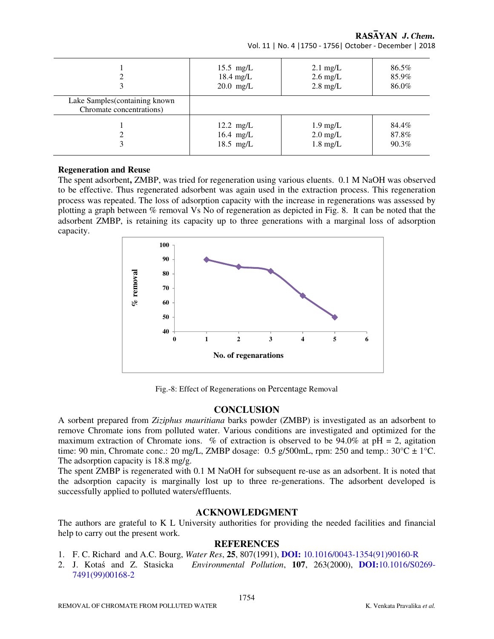|                                                             | $15.5$ mg/L         | $2.1 \text{ mg/L}$ | 86.5% |
|-------------------------------------------------------------|---------------------|--------------------|-------|
|                                                             | $18.4$ mg/L         | $2.6 \text{ mg/L}$ | 85.9% |
|                                                             | $20.0$ mg/L         | $2.8 \text{ mg/L}$ | 86.0% |
| Lake Samples (containing known)<br>Chromate concentrations) |                     |                    |       |
|                                                             | $12.2 \text{ mg/L}$ | $1.9 \text{ mg/L}$ | 84.4% |
|                                                             | 16.4 $mg/L$         | $2.0 \text{ mg/L}$ | 87.8% |
|                                                             | $18.5$ mg/L         | $1.8 \text{ mg/L}$ | 90.3% |

RASAYAN J. Chem. Vol. 11 | No. 4 |1750 - 1756| October - December | 2018

#### **Regeneration and Reuse**

The spent adsorbent**,** ZMBP, was tried for regeneration using various eluents. 0.1 M NaOH was observed to be effective. Thus regenerated adsorbent was again used in the extraction process. This regeneration process was repeated. The loss of adsorption capacity with the increase in regenerations was assessed by plotting a graph between % removal Vs No of regeneration as depicted in Fig. 8. It can be noted that the adsorbent ZMBP, is retaining its capacity up to three generations with a marginal loss of adsorption capacity.



Fig.-8: Effect of Regenerations on Percentage Removal

# **CONCLUSION**

A sorbent prepared from *Ziziphus mauritiana* barks powder (ZMBP) is investigated as an adsorbent to remove Chromate ions from polluted water. Various conditions are investigated and optimized for the maximum extraction of Chromate ions. % of extraction is observed to be 94.0% at  $pH = 2$ , agitation time: 90 min, Chromate conc.: 20 mg/L, ZMBP dosage: 0.5 g/500mL, rpm: 250 and temp.:  $30^{\circ}$ C  $\pm$  1°C. The adsorption capacity is 18.8 mg/g.

The spent ZMBP is regenerated with 0.1 M NaOH for subsequent re-use as an adsorbent. It is noted that the adsorption capacity is marginally lost up to three re-generations. The adsorbent developed is successfully applied to polluted waters/effluents.

#### **ACKNOWLEDGMENT**

The authors are grateful to K L University authorities for providing the needed facilities and financial help to carry out the present work.

#### **REFERENCES**

- 1. F. C. Richard and A.C. Bourg, *Water Res*, **25**, 807(1991), **DOI:** 10.1016/0043-1354(91)90160-R
- 2. J. Kotaś and Z. Stasicka *Environmental Pollution*, **107**, 263(2000), **DOI:**10.1016/S0269- 7491(99)00168-2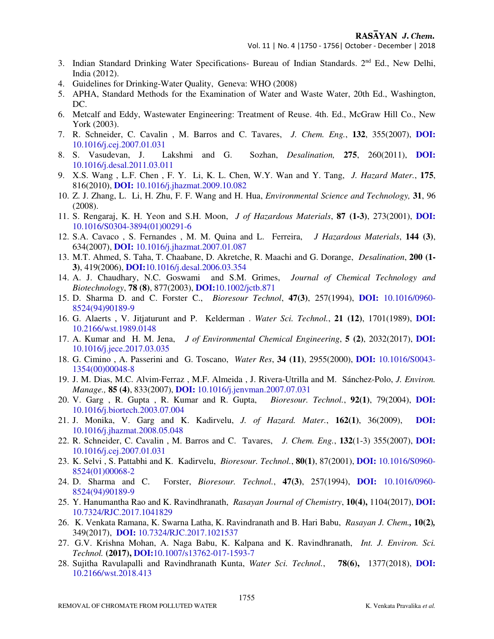- 3. Indian Standard Drinking Water Specifications- Bureau of Indian Standards. 2<sup>nd</sup> Ed., New Delhi, India (2012).
- 4. Guidelines for Drinking-Water Quality, Geneva: WHO (2008)
- 5. APHA, Standard Methods for the Examination of Water and Waste Water, 20th Ed., Washington, DC.
- 6. Metcalf and Eddy, Wastewater Engineering: Treatment of Reuse. 4th. Ed., McGraw Hill Co., New York (2003).
- 7. R. Schneider, C. Cavalin , M. Barros and C. Tavares, *J. Chem. Eng.*, **132**, 355(2007), **DOI:** 10.1016/j.cej.2007.01.031
- 8. S. Vasudevan, J. Lakshmi and G. Sozhan, *Desalination,* **275**, 260(2011), **DOI:** 10.1016/j.desal.2011.03.011
- 9. X.S. Wang , L.F. Chen , F. Y. Li, K. L. Chen, W.Y. Wan and Y. Tang, *J. Hazard Mater.*, **175**, 816(2010), **DOI:** 10.1016/j.jhazmat.2009.10.082
- 10. Z. J. Zhang, L. Li, H. Zhu, F. F. Wang and H. Hua, *Environmental Science and Technology,* **31**, 96 (2008).
- 11. S. Rengaraj, K. H. Yeon and S.H. Moon, *J of Hazardous Materials*, **87 (1-3)**, 273(2001), **DOI:** 10.1016/S0304-3894(01)00291-6
- 12. S.A. Cavaco , S. Fernandes , M. M. Quina and L. Ferreira, *J Hazardous Materials*, **144 (3)**, 634(2007), **DOI:** 10.1016/j.jhazmat.2007.01.087
- 13. M.T. Ahmed, S. Taha, T. Chaabane, D. Akretche, R. Maachi and G. Dorange, *Desalination*, **200 (1- 3)**, 419(2006), **DOI:**10.1016/j.desal.2006.03.354
- 14. A. J. Chaudhary, N.C. Goswami and S.M. Grimes, *Journal of Chemical Technology and Biotechnology*, **78 (8)**, 877(2003), **DOI:**10.1002/jctb.871
- 15. D. Sharma D. and C. Forster C., *Bioresour Technol*, **47(3)**, 257(1994), **DOI:** 10.1016/0960- 8524(94)90189-9
- 16. G. Alaerts , V. Jitjaturunt and P. Kelderman . *Water Sci. Technol.*, **21 (12)**, 1701(1989), **DOI:** 10.2166/wst.1989.0148
- 17. A. Kumar and H. M. Jena, *J of Environmental Chemical Engineering*, **5 (2)**, 2032(2017), **DOI:** 10.1016/j.jece.2017.03.035
- 18. G. Cimino , A. Passerini and G. Toscano, *Water Res*, **34 (11)**, 2955(2000), **DOI:** 10.1016/S0043- 1354(00)00048-8
- 19. J. M. Dias, M.C. Alvim-Ferraz , M.F. Almeida , J. Rivera-Utrilla and M. Sánchez-Polo, *J. Environ. Manage.,* **85 (4)**, 833(2007), **DOI:** 10.1016/j.jenvman.2007.07.031
- 20. V. Garg , R. Gupta , R. Kumar and R. Gupta, *Bioresour. Technol.*, **92(1)**, 79(2004), **DOI:** 10.1016/j.biortech.2003.07.004
- 21. J. Monika, V. Garg and K. Kadirvelu, *J. of Hazard. Mater.*, **162(1)**, 36(2009), **DOI:** 10.1016/j.jhazmat.2008.05.048
- 22. R. Schneider, C. Cavalin , M. Barros and C. Tavares, *J. Chem. Eng.*, **132**(1-3) 355(2007), **DOI:** 10.1016/j.cej.2007.01.031
- 23. K. Selvi , S. Pattabhi and K. Kadirvelu, *Bioresour. Technol.*, **80(1)**, 87(2001), **DOI:** 10.1016/S0960- 8524(01)00068-2
- 24. D. Sharma and C. Forster, *Bioresour. Technol.*, **47(3)**, 257(1994), **DOI:** 10.1016/0960- 8524(94)90189-9
- 25. Y. Hanumantha Rao and K. Ravindhranath, *Rasayan Journal of Chemistry*, **10(4),** 1104(2017), **DOI:** 10.7324/RJC.2017.1041829
- 26. K. Venkata Ramana, K. Swarna Latha, K. Ravindranath and B. Hari Babu, *Rasayan J. Chem.,* **10(2)***,*  349(2017), **DOI:** 10.7324/RJC.2017.1021537
- 27. G.V. Krishna Mohan, A. Naga Babu, K. Kalpana and K. Ravindhranath, *Int. J. Environ. Sci. Technol.* **(2017), DOI:**10.1007/s13762-017-1593-7
- 28. Sujitha Ravulapalli and Ravindhranath Kunta, *Water Sci. Technol.*, **78(6),** 1377(2018), **DOI:** 10.2166/wst.2018.413